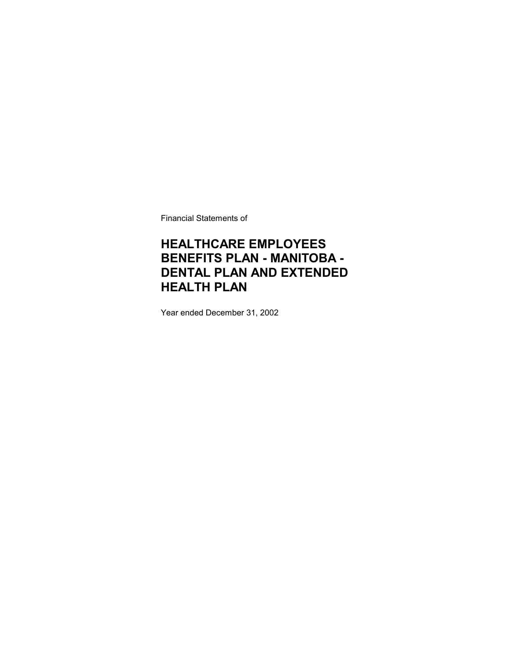Financial Statements of

## **HEALTHCARE EMPLOYEES BENEFITS PLAN - MANITOBA - DENTAL PLAN AND EXTENDED HEALTH PLAN**

Year ended December 31, 2002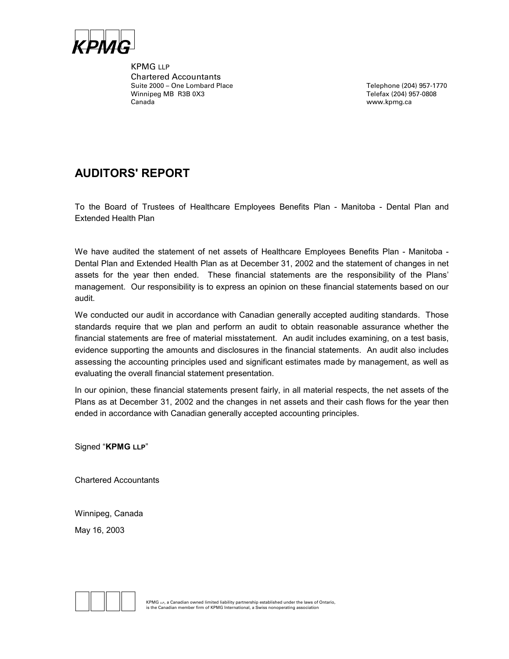

KPMG LLP Chartered Accountants Suite 2000 – One Lombard Place Telephone (204) 957-1770 Winnipeg MB R3B 0X3 Telefax (204) 957-0808 Canada www.kpmg.ca

### **AUDITORS' REPORT**

To the Board of Trustees of Healthcare Employees Benefits Plan - Manitoba - Dental Plan and Extended Health Plan

We have audited the statement of net assets of Healthcare Employees Benefits Plan - Manitoba -Dental Plan and Extended Health Plan as at December 31, 2002 and the statement of changes in net assets for the year then ended. These financial statements are the responsibility of the Plans' management. Our responsibility is to express an opinion on these financial statements based on our audit.

We conducted our audit in accordance with Canadian generally accepted auditing standards. Those standards require that we plan and perform an audit to obtain reasonable assurance whether the financial statements are free of material misstatement. An audit includes examining, on a test basis, evidence supporting the amounts and disclosures in the financial statements. An audit also includes assessing the accounting principles used and significant estimates made by management, as well as evaluating the overall financial statement presentation.

In our opinion, these financial statements present fairly, in all material respects, the net assets of the Plans as at December 31, 2002 and the changes in net assets and their cash flows for the year then ended in accordance with Canadian generally accepted accounting principles.

Signed "**KPMG LLP**"

Chartered Accountants

Winnipeg, Canada May 16, 2003

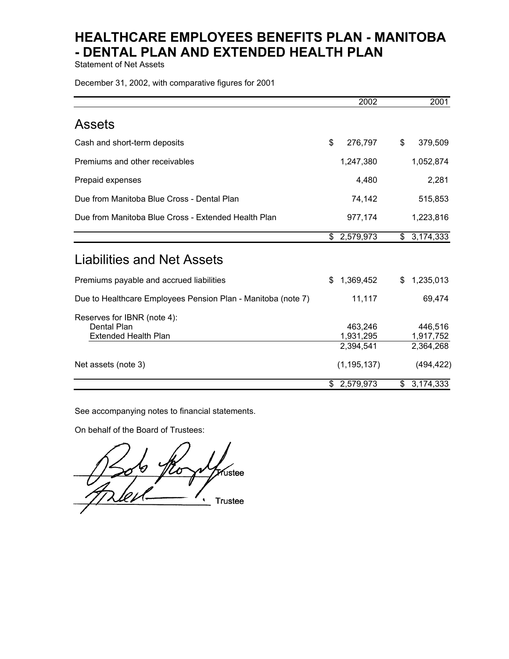Statement of Net Assets

December 31, 2002, with comparative figures for 2001

|                                                                                                         | 2002                                               | 2001                                            |
|---------------------------------------------------------------------------------------------------------|----------------------------------------------------|-------------------------------------------------|
| <b>Assets</b>                                                                                           |                                                    |                                                 |
| Cash and short-term deposits                                                                            | \$<br>276,797                                      | \$<br>379,509                                   |
| Premiums and other receivables                                                                          | 1,247,380                                          | 1,052,874                                       |
| Prepaid expenses                                                                                        | 4,480                                              | 2,281                                           |
| Due from Manitoba Blue Cross - Dental Plan                                                              | 74,142                                             | 515,853                                         |
| Due from Manitoba Blue Cross - Extended Health Plan                                                     | 977,174                                            | 1,223,816                                       |
|                                                                                                         | \$2,579,973                                        | \$3,174,333                                     |
| <b>Liabilities and Net Assets</b>                                                                       |                                                    |                                                 |
| Premiums payable and accrued liabilities                                                                | 1,369,452<br>\$                                    | 1,235,013<br>\$                                 |
| Due to Healthcare Employees Pension Plan - Manitoba (note 7)                                            | 11,117                                             | 69,474                                          |
| Reserves for IBNR (note 4):<br><b>Dental Plan</b><br><b>Extended Health Plan</b><br>Net assets (note 3) | 463,246<br>1,931,295<br>2,394,541<br>(1, 195, 137) | 446,516<br>1,917,752<br>2,364,268<br>(494, 422) |
|                                                                                                         |                                                    |                                                 |
|                                                                                                         | \$2,579,973                                        | \$3,174,333                                     |

See accompanying notes to financial statements.

On behalf of the Board of Trustees:

 $\wedge$  /  $\swarrow$  // ustee  $\mathcal{A}$  /  $\mathcal{A}$ **Trustee**  $\bullet$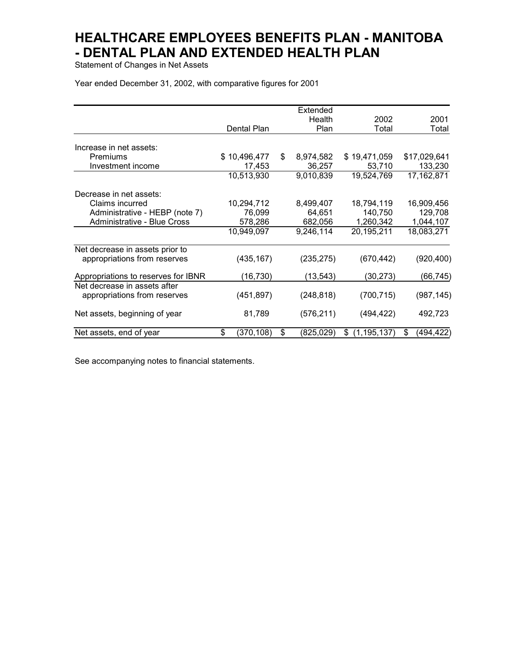Statement of Changes in Net Assets

Year ended December 31, 2002, with comparative figures for 2001

|                                     |                  |    | Extended   |                     |                 |
|-------------------------------------|------------------|----|------------|---------------------|-----------------|
|                                     |                  |    | Health     | 2002                | 2001            |
|                                     | Dental Plan      |    | Plan       | Total               | Total           |
|                                     |                  |    |            |                     |                 |
| Increase in net assets:             |                  |    |            |                     |                 |
| Premiums                            | \$10,496,477     | S  | 8,974,582  | \$19,471,059        | \$17,029,641    |
| Investment income                   | 17,453           |    | 36,257     | 53,710              | 133,230         |
|                                     | 10,513,930       |    | 9,010,839  | 19,524,769          | 17,162,871      |
| Decrease in net assets:             |                  |    |            |                     |                 |
| Claims incurred                     | 10,294,712       |    | 8,499,407  | 18,794,119          | 16,909,456      |
| Administrative - HEBP (note 7)      | 76,099           |    | 64,651     | 140,750             | 129,708         |
| Administrative - Blue Cross         | 578,286          |    | 682,056    | 1,260,342           | 1,044,107       |
|                                     | 10,949,097       |    | 9,246,114  | 20,195,211          | 18,083,271      |
| Net decrease in assets prior to     |                  |    |            |                     |                 |
| appropriations from reserves        | (435, 167)       |    | (235, 275) | (670, 442)          | (920, 400)      |
| Appropriations to reserves for IBNR | (16, 730)        |    | (13, 543)  | (30,273)            | (66,745)        |
| Net decrease in assets after        |                  |    |            |                     |                 |
| appropriations from reserves        | (451, 897)       |    | (248, 818) | (700, 715)          | (987, 145)      |
| Net assets, beginning of year       | 81,789           |    | (576, 211) | (494, 422)          | 492,723         |
| Net assets, end of year             | \$<br>(370, 108) | \$ | (825, 029) | \$<br>(1, 195, 137) | \$<br>(494,422) |

See accompanying notes to financial statements.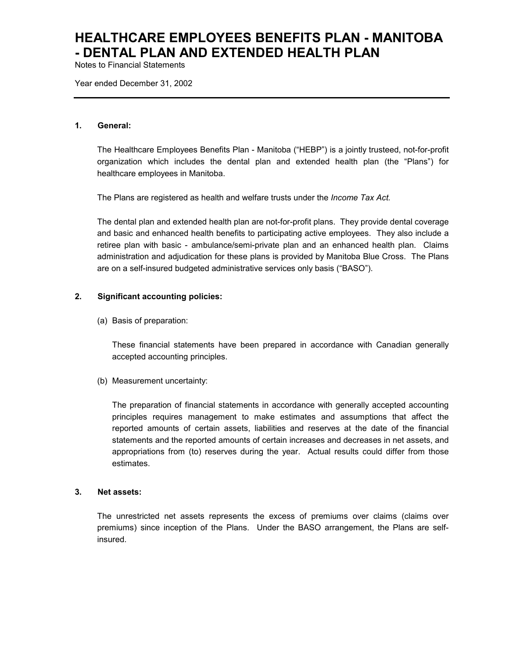Notes to Financial Statements

Year ended December 31, 2002

#### **1. General:**

The Healthcare Employees Benefits Plan - Manitoba ("HEBP") is a jointly trusteed, not-for-profit organization which includes the dental plan and extended health plan (the "Plans") for healthcare employees in Manitoba.

The Plans are registered as health and welfare trusts under the *Income Tax Act.*

The dental plan and extended health plan are not-for-profit plans. They provide dental coverage and basic and enhanced health benefits to participating active employees. They also include a retiree plan with basic - ambulance/semi-private plan and an enhanced health plan. Claims administration and adjudication for these plans is provided by Manitoba Blue Cross. The Plans are on a self-insured budgeted administrative services only basis ("BASO").

### **2. Significant accounting policies:**

(a) Basis of preparation:

These financial statements have been prepared in accordance with Canadian generally accepted accounting principles.

(b) Measurement uncertainty:

The preparation of financial statements in accordance with generally accepted accounting principles requires management to make estimates and assumptions that affect the reported amounts of certain assets, liabilities and reserves at the date of the financial statements and the reported amounts of certain increases and decreases in net assets, and appropriations from (to) reserves during the year. Actual results could differ from those estimates.

#### **3. Net assets:**

The unrestricted net assets represents the excess of premiums over claims (claims over premiums) since inception of the Plans. Under the BASO arrangement, the Plans are selfinsured.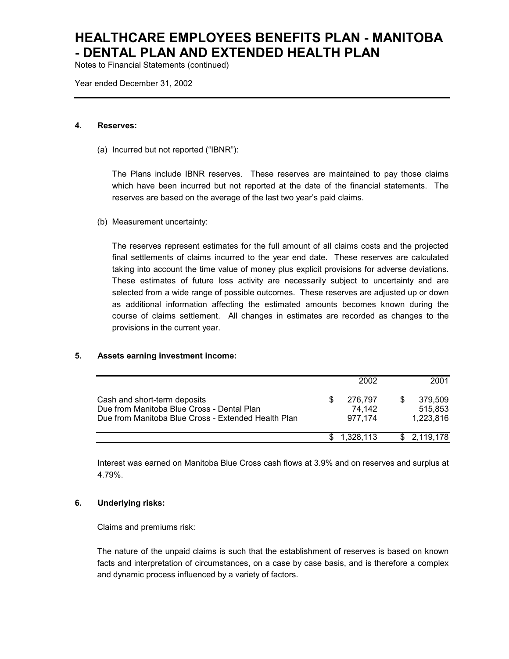Notes to Financial Statements (continued)

Year ended December 31, 2002

#### **4. Reserves:**

(a) Incurred but not reported ("IBNR"):

The Plans include IBNR reserves. These reserves are maintained to pay those claims which have been incurred but not reported at the date of the financial statements. The reserves are based on the average of the last two year's paid claims.

(b) Measurement uncertainty:

The reserves represent estimates for the full amount of all claims costs and the projected final settlements of claims incurred to the year end date. These reserves are calculated taking into account the time value of money plus explicit provisions for adverse deviations. These estimates of future loss activity are necessarily subject to uncertainty and are selected from a wide range of possible outcomes. These reserves are adjusted up or down as additional information affecting the estimated amounts becomes known during the course of claims settlement. All changes in estimates are recorded as changes to the provisions in the current year.

### **5. Assets earning investment income:**

|                                                                                                                                   | 2002                         | 2001                            |
|-----------------------------------------------------------------------------------------------------------------------------------|------------------------------|---------------------------------|
| Cash and short-term deposits<br>Due from Manitoba Blue Cross - Dental Plan<br>Due from Manitoba Blue Cross - Extended Health Plan | 276.797<br>74.142<br>977.174 | 379.509<br>515.853<br>1,223,816 |
|                                                                                                                                   | 1.328.113                    | \$2,119,178                     |

Interest was earned on Manitoba Blue Cross cash flows at 3.9% and on reserves and surplus at 4.79%.

### **6. Underlying risks:**

Claims and premiums risk:

The nature of the unpaid claims is such that the establishment of reserves is based on known facts and interpretation of circumstances, on a case by case basis, and is therefore a complex and dynamic process influenced by a variety of factors.